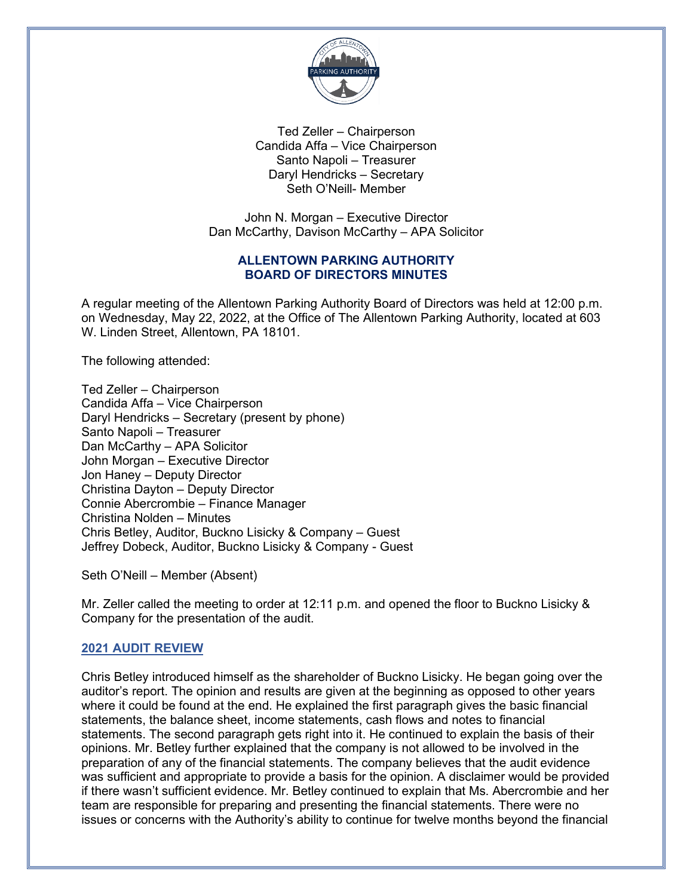

Ted Zeller – Chairperson Candida Affa – Vice Chairperson Santo Napoli – Treasurer Daryl Hendricks – Secretary Seth O'Neill- Member

John N. Morgan – Executive Director Dan McCarthy, Davison McCarthy – APA Solicitor

## **ALLENTOWN PARKING AUTHORITY BOARD OF DIRECTORS MINUTES**

A regular meeting of the Allentown Parking Authority Board of Directors was held at 12:00 p.m. on Wednesday, May 22, 2022, at the Office of The Allentown Parking Authority, located at 603 W. Linden Street, Allentown, PA 18101.

The following attended:

Ted Zeller – Chairperson Candida Affa – Vice Chairperson Daryl Hendricks – Secretary (present by phone) Santo Napoli – Treasurer Dan McCarthy – APA Solicitor John Morgan – Executive Director Jon Haney – Deputy Director Christina Dayton – Deputy Director Connie Abercrombie – Finance Manager Christina Nolden – Minutes Chris Betley, Auditor, Buckno Lisicky & Company – Guest Jeffrey Dobeck, Auditor, Buckno Lisicky & Company - Guest

Seth O'Neill – Member (Absent)

Mr. Zeller called the meeting to order at 12:11 p.m. and opened the floor to Buckno Lisicky & Company for the presentation of the audit.

# **2021 AUDIT REVIEW**

Chris Betley introduced himself as the shareholder of Buckno Lisicky. He began going over the auditor's report. The opinion and results are given at the beginning as opposed to other years where it could be found at the end. He explained the first paragraph gives the basic financial statements, the balance sheet, income statements, cash flows and notes to financial statements. The second paragraph gets right into it. He continued to explain the basis of their opinions. Mr. Betley further explained that the company is not allowed to be involved in the preparation of any of the financial statements. The company believes that the audit evidence was sufficient and appropriate to provide a basis for the opinion. A disclaimer would be provided if there wasn't sufficient evidence. Mr. Betley continued to explain that Ms. Abercrombie and her team are responsible for preparing and presenting the financial statements. There were no issues or concerns with the Authority's ability to continue for twelve months beyond the financial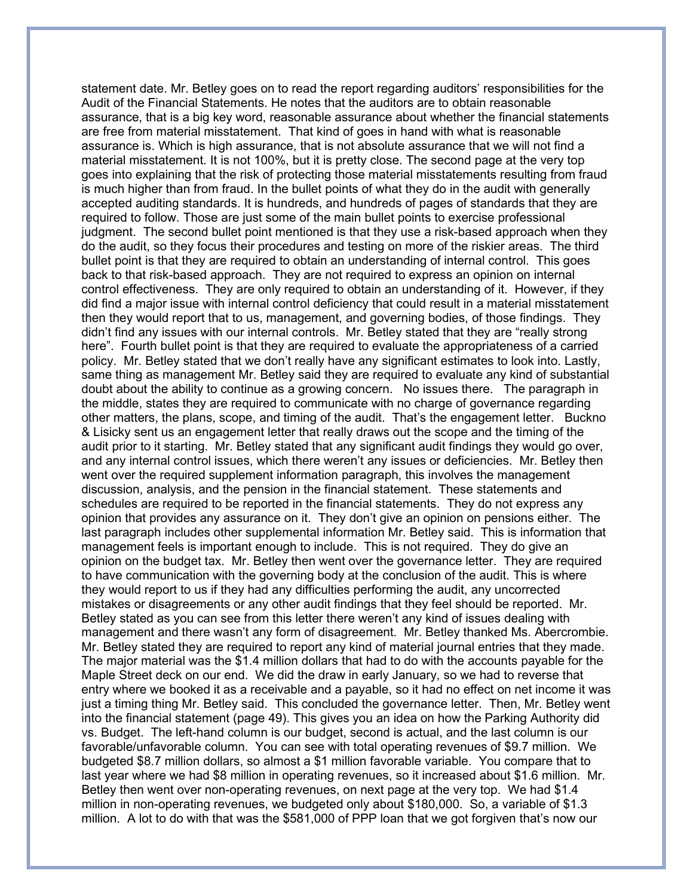statement date. Mr. Betley goes on to read the report regarding auditors' responsibilities for the Audit of the Financial Statements. He notes that the auditors are to obtain reasonable assurance, that is a big key word, reasonable assurance about whether the financial statements are free from material misstatement. That kind of goes in hand with what is reasonable assurance is. Which is high assurance, that is not absolute assurance that we will not find a material misstatement. It is not 100%, but it is pretty close. The second page at the very top goes into explaining that the risk of protecting those material misstatements resulting from fraud is much higher than from fraud. In the bullet points of what they do in the audit with generally accepted auditing standards. It is hundreds, and hundreds of pages of standards that they are required to follow. Those are just some of the main bullet points to exercise professional judgment. The second bullet point mentioned is that they use a risk-based approach when they do the audit, so they focus their procedures and testing on more of the riskier areas. The third bullet point is that they are required to obtain an understanding of internal control. This goes back to that risk-based approach. They are not required to express an opinion on internal control effectiveness. They are only required to obtain an understanding of it. However, if they did find a major issue with internal control deficiency that could result in a material misstatement then they would report that to us, management, and governing bodies, of those findings. They didn't find any issues with our internal controls. Mr. Betley stated that they are "really strong here". Fourth bullet point is that they are required to evaluate the appropriateness of a carried policy. Mr. Betley stated that we don't really have any significant estimates to look into. Lastly, same thing as management Mr. Betley said they are required to evaluate any kind of substantial doubt about the ability to continue as a growing concern. No issues there. The paragraph in the middle, states they are required to communicate with no charge of governance regarding other matters, the plans, scope, and timing of the audit. That's the engagement letter. Buckno & Lisicky sent us an engagement letter that really draws out the scope and the timing of the audit prior to it starting. Mr. Betley stated that any significant audit findings they would go over, and any internal control issues, which there weren't any issues or deficiencies. Mr. Betley then went over the required supplement information paragraph, this involves the management discussion, analysis, and the pension in the financial statement. These statements and schedules are required to be reported in the financial statements. They do not express any opinion that provides any assurance on it. They don't give an opinion on pensions either. The last paragraph includes other supplemental information Mr. Betley said. This is information that management feels is important enough to include. This is not required. They do give an opinion on the budget tax. Mr. Betley then went over the governance letter. They are required to have communication with the governing body at the conclusion of the audit. This is where they would report to us if they had any difficulties performing the audit, any uncorrected mistakes or disagreements or any other audit findings that they feel should be reported. Mr. Betley stated as you can see from this letter there weren't any kind of issues dealing with management and there wasn't any form of disagreement. Mr. Betley thanked Ms. Abercrombie. Mr. Betley stated they are required to report any kind of material journal entries that they made. The major material was the \$1.4 million dollars that had to do with the accounts payable for the Maple Street deck on our end. We did the draw in early January, so we had to reverse that entry where we booked it as a receivable and a payable, so it had no effect on net income it was just a timing thing Mr. Betley said. This concluded the governance letter. Then, Mr. Betley went into the financial statement (page 49). This gives you an idea on how the Parking Authority did vs. Budget. The left-hand column is our budget, second is actual, and the last column is our favorable/unfavorable column. You can see with total operating revenues of \$9.7 million. We budgeted \$8.7 million dollars, so almost a \$1 million favorable variable. You compare that to last year where we had \$8 million in operating revenues, so it increased about \$1.6 million. Mr. Betley then went over non-operating revenues, on next page at the very top. We had \$1.4 million in non-operating revenues, we budgeted only about \$180,000. So, a variable of \$1.3 million. A lot to do with that was the \$581,000 of PPP loan that we got forgiven that's now our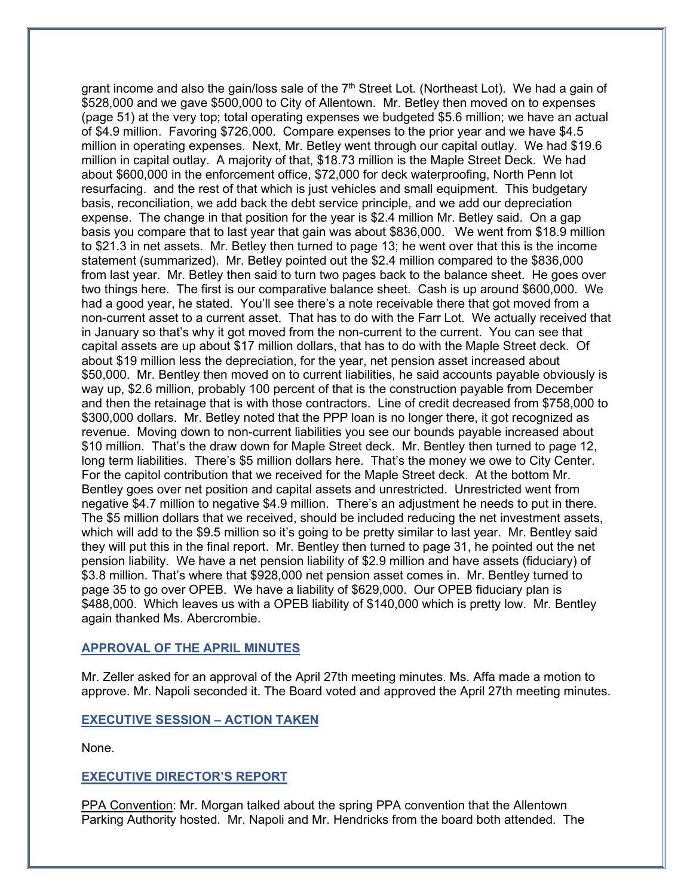grant income and also the gain/loss sale of the  $7<sup>th</sup>$  Street Lot. (Northeast Lot). We had a gain of \$528,000 and we gave \$500,000 to City of Allentown. Mr. Betley then moved on to expenses (page 51) at the very top; total operating expenses we budgeted \$5.6 million; we have an actual of \$4.9 million. Favoring \$726,000. Compare expenses to the prior year and we have \$4.5 million in operating expenses. Next, Mr. Betley went through our capital outlay. We had \$19.6 million in capital outlay. A majority of that, \$18.73 million is the Maple Street Deck. We had about \$600,000 in the enforcement office, \$72,000 for deck waterproofing, North Penn lot resurfacing. and the rest of that which is just vehicles and small equipment. This budgetary basis, reconciliation, we add back the debt service principle, and we add our depreciation expense. The change in that position for the year is \$2.4 million Mr. Betley said. On a gap basis you compare that to last year that gain was about \$836,000. We went from \$18.9 million to \$21.3 in net assets. Mr. Betley then turned to page 13; he went over that this is the income statement (summarized). Mr. Betley pointed out the \$2.4 million compared to the \$836,000 from last year. Mr. Betley then said to turn two pages back to the balance sheet. He goes over two things here. The first is our comparative balance sheet. Cash is up around \$600,000. We had a good year, he stated. You'll see there's a note receivable there that got moved from a non-current asset to a current asset. That has to do with the Farr Lot. We actually received that in January so that's why it got moved from the non-current to the current. You can see that capital assets are up about \$17 million dollars, that has to do with the Maple Street deck. Of about \$19 million less the depreciation, for the year, net pension asset increased about \$50,000. Mr. Bentley then moved on to current liabilities, he said accounts payable obviously is way up, \$2.6 million, probably 100 percent of that is the construction payable from December and then the retainage that is with those contractors. Line of credit decreased from \$758,000 to \$300,000 dollars. Mr. Betley noted that the PPP loan is no longer there, it got recognized as revenue. Moving down to non-current liabilities you see our bounds payable increased about \$10 million. That's the draw down for Maple Street deck. Mr. Bentley then turned to page 12, long term liabilities. There's \$5 million dollars here. That's the money we owe to City Center. For the capitol contribution that we received for the Maple Street deck. At the bottom Mr. Bentley goes over net position and capital assets and unrestricted. Unrestricted went from negative \$4.7 million to negative \$4.9 million. There's an adjustment he needs to put in there. The \$5 million dollars that we received, should be included reducing the net investment assets, which will add to the \$9.5 million so it's going to be pretty similar to last year. Mr. Bentley said they will put this in the final report. Mr. Bentley then turned to page 31, he pointed out the net pension liability. We have a net pension liability of \$2.9 million and have assets (fiduciary) of \$3.8 million. That's where that \$928,000 net pension asset comes in. Mr. Bentley turned to page 35 to go over OPEB. We have a liability of \$629,000. Our OPEB fiduciary plan is \$488,000. Which leaves us with a OPEB liability of \$140,000 which is pretty low. Mr. Bentley again thanked Ms. Abercrombie.

## **APPROVAL OF THE APRIL MINUTES**

Mr. Zeller asked for an approval of the April 27th meeting minutes. Ms. Affa made a motion to approve. Mr. Napoli seconded it. The Board voted and approved the April 27th meeting minutes.

## **EXECUTIVE SESSION – ACTION TAKEN**

None.

#### **EXECUTIVE DIRECTOR'S REPORT**

PPA Convention: Mr. Morgan talked about the spring PPA convention that the Allentown Parking Authority hosted. Mr. Napoli and Mr. Hendricks from the board both attended. The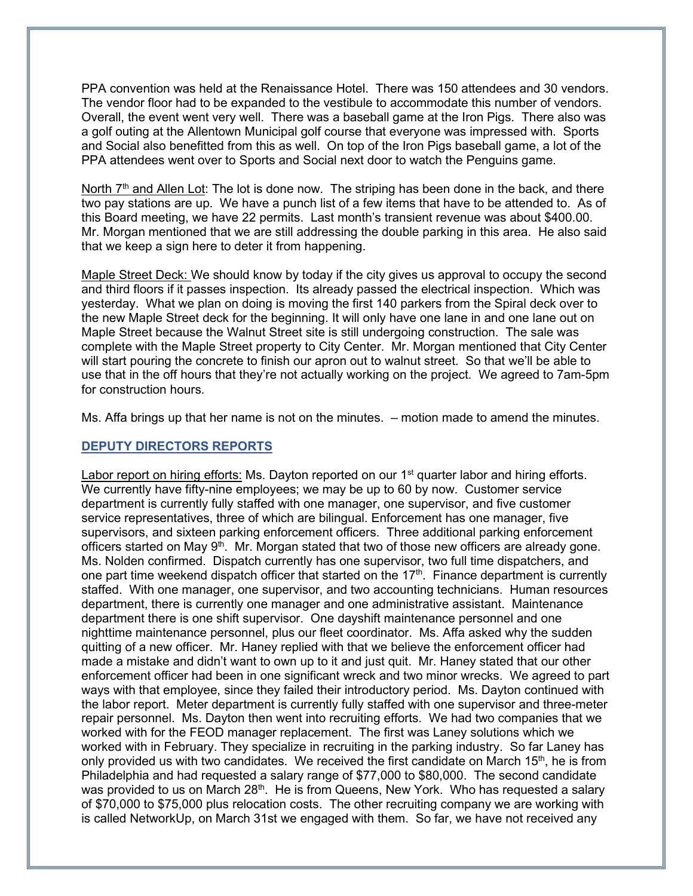PPA convention was held at the Renaissance Hotel. There was 150 attendees and 30 vendors. The vendor floor had to be expanded to the vestibule to accommodate this number of vendors. Overall, the event went very well. There was a baseball game at the Iron Pigs. There also was a golf outing at the Allentown Municipal golf course that everyone was impressed with. Sports and Social also benefitted from this as well. On top of the Iron Pigs baseball game, a lot of the PPA attendees went over to Sports and Social next door to watch the Penguins game.

North  $7<sup>th</sup>$  and Allen Lot: The lot is done now. The striping has been done in the back, and there two pay stations are up. We have a punch list of a few items that have to be attended to. As of this Board meeting, we have 22 permits. Last month's transient revenue was about \$400.00. Mr. Morgan mentioned that we are still addressing the double parking in this area. He also said that we keep a sign here to deter it from happening.

Maple Street Deck: We should know by today if the city gives us approval to occupy the second and third floors if it passes inspection. Its already passed the electrical inspection. Which was yesterday. What we plan on doing is moving the first 140 parkers from the Spiral deck over to the new Maple Street deck for the beginning. It will only have one lane in and one lane out on Maple Street because the Walnut Street site is still undergoing construction. The sale was complete with the Maple Street property to City Center. Mr. Morgan mentioned that City Center will start pouring the concrete to finish our apron out to walnut street. So that we'll be able to use that in the off hours that they're not actually working on the project. We agreed to 7am-5pm for construction hours.

Ms. Affa brings up that her name is not on the minutes. – motion made to amend the minutes.

## **DEPUTY DIRECTORS REPORTS**

Labor report on hiring efforts: Ms. Dayton reported on our  $1<sup>st</sup>$  quarter labor and hiring efforts. We currently have fifty-nine employees; we may be up to 60 by now. Customer service department is currently fully staffed with one manager, one supervisor, and five customer service representatives, three of which are bilingual. Enforcement has one manager, five supervisors, and sixteen parking enforcement officers. Three additional parking enforcement officers started on May  $9<sup>th</sup>$ . Mr. Morgan stated that two of those new officers are already gone. Ms. Nolden confirmed. Dispatch currently has one supervisor, two full time dispatchers, and one part time weekend dispatch officer that started on the  $17<sup>th</sup>$ . Finance department is currently staffed. With one manager, one supervisor, and two accounting technicians. Human resources department, there is currently one manager and one administrative assistant. Maintenance department there is one shift supervisor. One dayshift maintenance personnel and one nighttime maintenance personnel, plus our fleet coordinator. Ms. Affa asked why the sudden quitting of a new officer. Mr. Haney replied with that we believe the enforcement officer had made a mistake and didn't want to own up to it and just quit. Mr. Haney stated that our other enforcement officer had been in one significant wreck and two minor wrecks. We agreed to part ways with that employee, since they failed their introductory period. Ms. Dayton continued with the labor report. Meter department is currently fully staffed with one supervisor and three-meter repair personnel. Ms. Dayton then went into recruiting efforts. We had two companies that we worked with for the FEOD manager replacement. The first was Laney solutions which we worked with in February. They specialize in recruiting in the parking industry. So far Laney has only provided us with two candidates. We received the first candidate on March  $15<sup>th</sup>$ , he is from Philadelphia and had requested a salary range of \$77,000 to \$80,000. The second candidate was provided to us on March 28<sup>th</sup>. He is from Queens, New York. Who has requested a salary of \$70,000 to \$75,000 plus relocation costs. The other recruiting company we are working with is called NetworkUp, on March 31st we engaged with them. So far, we have not received any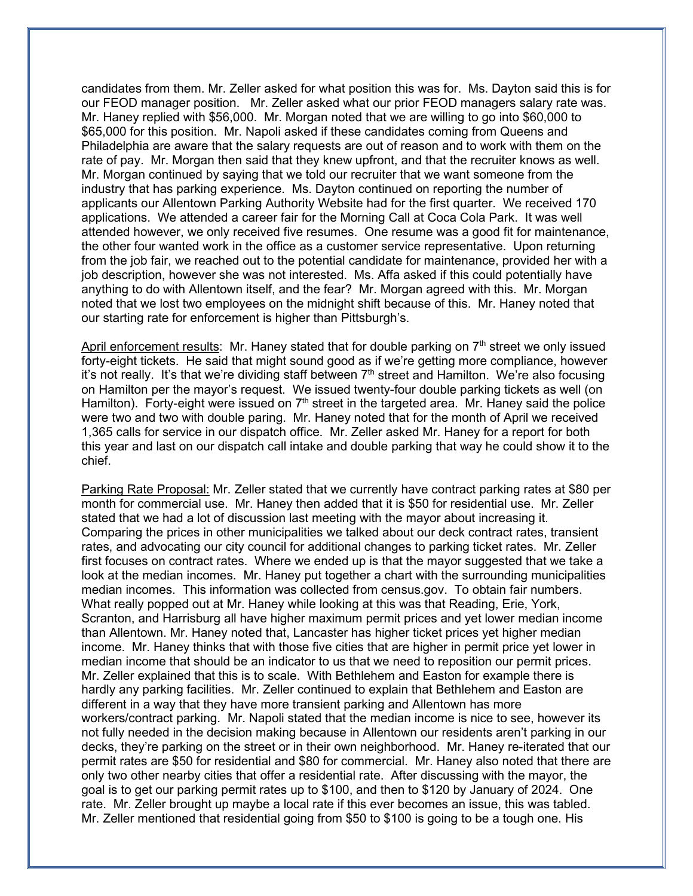candidates from them. Mr. Zeller asked for what position this was for. Ms. Dayton said this is for our FEOD manager position. Mr. Zeller asked what our prior FEOD managers salary rate was. Mr. Haney replied with \$56,000. Mr. Morgan noted that we are willing to go into \$60,000 to \$65,000 for this position. Mr. Napoli asked if these candidates coming from Queens and Philadelphia are aware that the salary requests are out of reason and to work with them on the rate of pay. Mr. Morgan then said that they knew upfront, and that the recruiter knows as well. Mr. Morgan continued by saying that we told our recruiter that we want someone from the industry that has parking experience. Ms. Dayton continued on reporting the number of applicants our Allentown Parking Authority Website had for the first quarter. We received 170 applications. We attended a career fair for the Morning Call at Coca Cola Park. It was well attended however, we only received five resumes. One resume was a good fit for maintenance, the other four wanted work in the office as a customer service representative. Upon returning from the job fair, we reached out to the potential candidate for maintenance, provided her with a job description, however she was not interested. Ms. Affa asked if this could potentially have anything to do with Allentown itself, and the fear? Mr. Morgan agreed with this. Mr. Morgan noted that we lost two employees on the midnight shift because of this. Mr. Haney noted that our starting rate for enforcement is higher than Pittsburgh's.

April enforcement results: Mr. Haney stated that for double parking on  $7<sup>th</sup>$  street we only issued forty-eight tickets. He said that might sound good as if we're getting more compliance, however it's not really. It's that we're dividing staff between  $7<sup>th</sup>$  street and Hamilton. We're also focusing on Hamilton per the mayor's request. We issued twenty-four double parking tickets as well (on Hamilton). Forty-eight were issued on  $7<sup>th</sup>$  street in the targeted area. Mr. Haney said the police were two and two with double paring. Mr. Haney noted that for the month of April we received 1,365 calls for service in our dispatch office. Mr. Zeller asked Mr. Haney for a report for both this year and last on our dispatch call intake and double parking that way he could show it to the chief.

Parking Rate Proposal: Mr. Zeller stated that we currently have contract parking rates at \$80 per month for commercial use. Mr. Haney then added that it is \$50 for residential use. Mr. Zeller stated that we had a lot of discussion last meeting with the mayor about increasing it. Comparing the prices in other municipalities we talked about our deck contract rates, transient rates, and advocating our city council for additional changes to parking ticket rates. Mr. Zeller first focuses on contract rates. Where we ended up is that the mayor suggested that we take a look at the median incomes. Mr. Haney put together a chart with the surrounding municipalities median incomes. This information was collected from census.gov. To obtain fair numbers. What really popped out at Mr. Haney while looking at this was that Reading, Erie, York, Scranton, and Harrisburg all have higher maximum permit prices and yet lower median income than Allentown. Mr. Haney noted that, Lancaster has higher ticket prices yet higher median income. Mr. Haney thinks that with those five cities that are higher in permit price yet lower in median income that should be an indicator to us that we need to reposition our permit prices. Mr. Zeller explained that this is to scale. With Bethlehem and Easton for example there is hardly any parking facilities. Mr. Zeller continued to explain that Bethlehem and Easton are different in a way that they have more transient parking and Allentown has more workers/contract parking. Mr. Napoli stated that the median income is nice to see, however its not fully needed in the decision making because in Allentown our residents aren't parking in our decks, they're parking on the street or in their own neighborhood. Mr. Haney re-iterated that our permit rates are \$50 for residential and \$80 for commercial. Mr. Haney also noted that there are only two other nearby cities that offer a residential rate. After discussing with the mayor, the goal is to get our parking permit rates up to \$100, and then to \$120 by January of 2024. One rate. Mr. Zeller brought up maybe a local rate if this ever becomes an issue, this was tabled. Mr. Zeller mentioned that residential going from \$50 to \$100 is going to be a tough one. His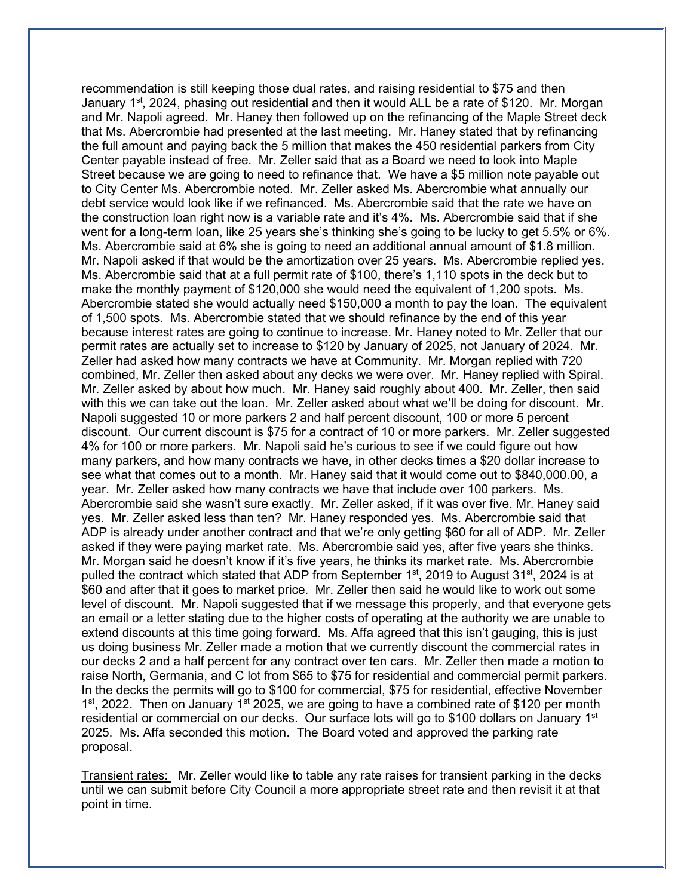recommendation is still keeping those dual rates, and raising residential to \$75 and then January 1<sup>st</sup>, 2024, phasing out residential and then it would ALL be a rate of \$120. Mr. Morgan and Mr. Napoli agreed. Mr. Haney then followed up on the refinancing of the Maple Street deck that Ms. Abercrombie had presented at the last meeting. Mr. Haney stated that by refinancing the full amount and paying back the 5 million that makes the 450 residential parkers from City Center payable instead of free. Mr. Zeller said that as a Board we need to look into Maple Street because we are going to need to refinance that. We have a \$5 million note payable out to City Center Ms. Abercrombie noted. Mr. Zeller asked Ms. Abercrombie what annually our debt service would look like if we refinanced. Ms. Abercrombie said that the rate we have on the construction loan right now is a variable rate and it's 4%. Ms. Abercrombie said that if she went for a long-term loan, like 25 years she's thinking she's going to be lucky to get 5.5% or 6%. Ms. Abercrombie said at 6% she is going to need an additional annual amount of \$1.8 million. Mr. Napoli asked if that would be the amortization over 25 years. Ms. Abercrombie replied yes. Ms. Abercrombie said that at a full permit rate of \$100, there's 1,110 spots in the deck but to make the monthly payment of \$120,000 she would need the equivalent of 1,200 spots. Ms. Abercrombie stated she would actually need \$150,000 a month to pay the loan. The equivalent of 1,500 spots. Ms. Abercrombie stated that we should refinance by the end of this year because interest rates are going to continue to increase. Mr. Haney noted to Mr. Zeller that our permit rates are actually set to increase to \$120 by January of 2025, not January of 2024. Mr. Zeller had asked how many contracts we have at Community. Mr. Morgan replied with 720 combined, Mr. Zeller then asked about any decks we were over. Mr. Haney replied with Spiral. Mr. Zeller asked by about how much. Mr. Haney said roughly about 400. Mr. Zeller, then said with this we can take out the loan. Mr. Zeller asked about what we'll be doing for discount. Mr. Napoli suggested 10 or more parkers 2 and half percent discount, 100 or more 5 percent discount. Our current discount is \$75 for a contract of 10 or more parkers. Mr. Zeller suggested 4% for 100 or more parkers. Mr. Napoli said he's curious to see if we could figure out how many parkers, and how many contracts we have, in other decks times a \$20 dollar increase to see what that comes out to a month. Mr. Haney said that it would come out to \$840,000.00, a year. Mr. Zeller asked how many contracts we have that include over 100 parkers. Ms. Abercrombie said she wasn't sure exactly. Mr. Zeller asked, if it was over five. Mr. Haney said yes. Mr. Zeller asked less than ten? Mr. Haney responded yes. Ms. Abercrombie said that ADP is already under another contract and that we're only getting \$60 for all of ADP. Mr. Zeller asked if they were paying market rate. Ms. Abercrombie said yes, after five years she thinks. Mr. Morgan said he doesn't know if it's five years, he thinks its market rate. Ms. Abercrombie pulled the contract which stated that ADP from September  $1<sup>st</sup>$ , 2019 to August 31 $<sup>st</sup>$ , 2024 is at</sup> \$60 and after that it goes to market price. Mr. Zeller then said he would like to work out some level of discount. Mr. Napoli suggested that if we message this properly, and that everyone gets an email or a letter stating due to the higher costs of operating at the authority we are unable to extend discounts at this time going forward. Ms. Affa agreed that this isn't gauging, this is just us doing business Mr. Zeller made a motion that we currently discount the commercial rates in our decks 2 and a half percent for any contract over ten cars. Mr. Zeller then made a motion to raise North, Germania, and C lot from \$65 to \$75 for residential and commercial permit parkers. In the decks the permits will go to \$100 for commercial, \$75 for residential, effective November 1<sup>st</sup>, 2022. Then on January 1<sup>st</sup> 2025, we are going to have a combined rate of \$120 per month residential or commercial on our decks. Our surface lots will go to \$100 dollars on January 1st 2025. Ms. Affa seconded this motion. The Board voted and approved the parking rate proposal.

Transient rates: Mr. Zeller would like to table any rate raises for transient parking in the decks until we can submit before City Council a more appropriate street rate and then revisit it at that point in time.